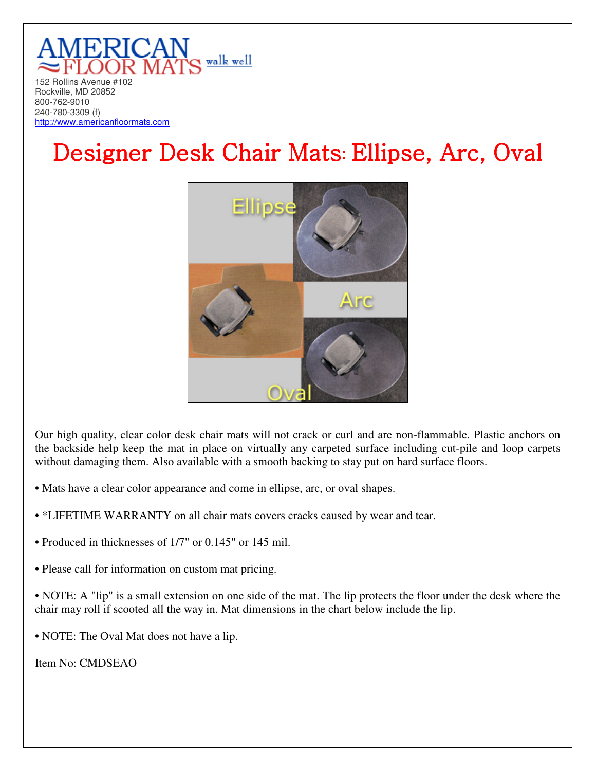

## Designer Desk Chair Mats: Ellipse, Arc, Oval



Our high quality, clear color desk chair mats will not crack or curl and are non-flammable. Plastic anchors on the backside help keep the mat in place on virtually any carpeted surface including cut-pile and loop carpets without damaging them. Also available with a smooth backing to stay put on hard surface floors.

- Mats have a clear color appearance and come in ellipse, arc, or oval shapes.
- \*LIFETIME WARRANTY on all chair mats covers cracks caused by wear and tear.
- Produced in thicknesses of 1/7" or 0.145" or 145 mil.
- Please call for information on custom mat pricing.

• NOTE: A "lip" is a small extension on one side of the mat. The lip protects the floor under the desk where the chair may roll if scooted all the way in. Mat dimensions in the chart below include the lip.

• NOTE: The Oval Mat does not have a lip.

Item No: CMDSEAO